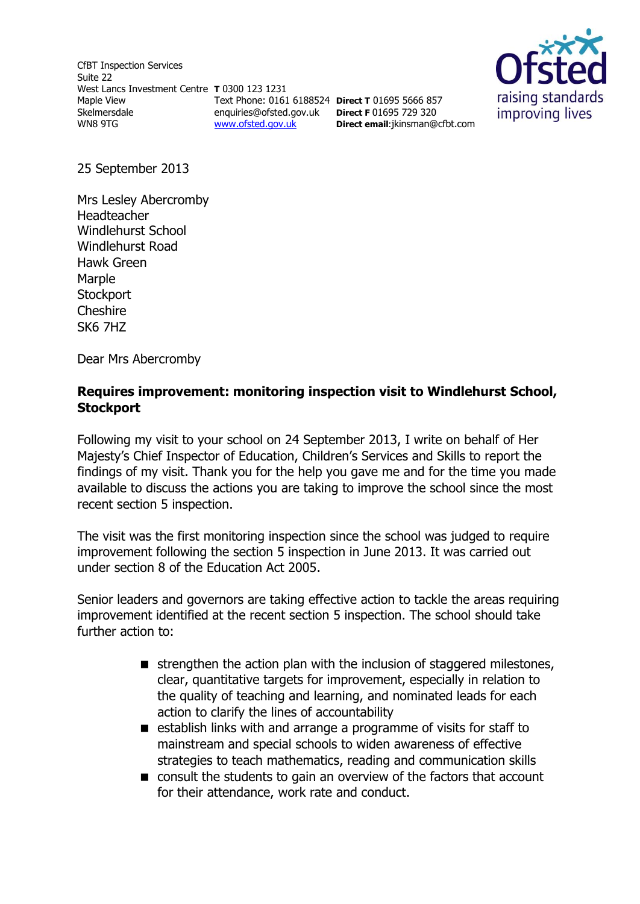CfBT Inspection Services Suite 22 West Lancs Investment Centre **T** 0300 123 1231 Maple View Skelmersdale WN8 9TG Text Phone: 0161 6188524 **Direct T** 01695 5666 857 enquiries@ofsted.gov.uk **Direct F** 01695 729 320 [www.ofsted.gov.uk](http://www.ofsted.gov.uk/)



25 September 2013

Mrs Lesley Abercromby Headteacher Windlehurst School Windlehurst Road Hawk Green Marple **Stockport Cheshire** SK6 7HZ

Dear Mrs Abercromby

### **Requires improvement: monitoring inspection visit to Windlehurst School, Stockport**

**Direct email**:jkinsman@cfbt.com

Following my visit to your school on 24 September 2013, I write on behalf of Her Majesty's Chief Inspector of Education, Children's Services and Skills to report the findings of my visit. Thank you for the help you gave me and for the time you made available to discuss the actions you are taking to improve the school since the most recent section 5 inspection.

The visit was the first monitoring inspection since the school was judged to require improvement following the section 5 inspection in June 2013. It was carried out under section 8 of the Education Act 2005.

Senior leaders and governors are taking effective action to tackle the areas requiring improvement identified at the recent section 5 inspection. The school should take further action to:

- $\blacksquare$  strengthen the action plan with the inclusion of staggered milestones, clear, quantitative targets for improvement, especially in relation to the quality of teaching and learning, and nominated leads for each action to clarify the lines of accountability
- establish links with and arrange a programme of visits for staff to mainstream and special schools to widen awareness of effective strategies to teach mathematics, reading and communication skills
- consult the students to gain an overview of the factors that account for their attendance, work rate and conduct.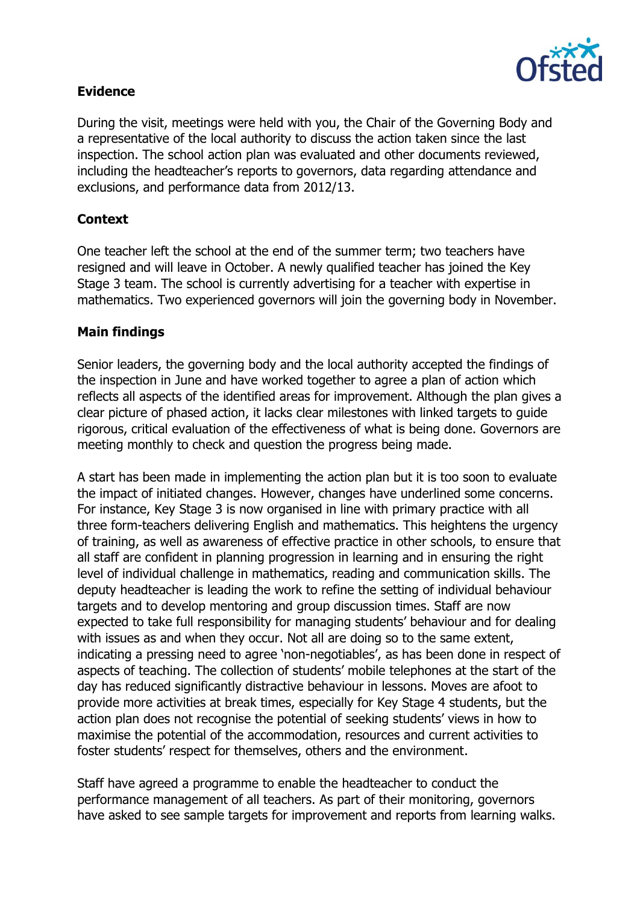

## **Evidence**

During the visit, meetings were held with you, the Chair of the Governing Body and a representative of the local authority to discuss the action taken since the last inspection. The school action plan was evaluated and other documents reviewed, including the headteacher's reports to governors, data regarding attendance and exclusions, and performance data from 2012/13.

# **Context**

One teacher left the school at the end of the summer term; two teachers have resigned and will leave in October. A newly qualified teacher has joined the Key Stage 3 team. The school is currently advertising for a teacher with expertise in mathematics. Two experienced governors will join the governing body in November.

### **Main findings**

Senior leaders, the governing body and the local authority accepted the findings of the inspection in June and have worked together to agree a plan of action which reflects all aspects of the identified areas for improvement. Although the plan gives a clear picture of phased action, it lacks clear milestones with linked targets to guide rigorous, critical evaluation of the effectiveness of what is being done. Governors are meeting monthly to check and question the progress being made.

A start has been made in implementing the action plan but it is too soon to evaluate the impact of initiated changes. However, changes have underlined some concerns. For instance, Key Stage 3 is now organised in line with primary practice with all three form-teachers delivering English and mathematics. This heightens the urgency of training, as well as awareness of effective practice in other schools, to ensure that all staff are confident in planning progression in learning and in ensuring the right level of individual challenge in mathematics, reading and communication skills. The deputy headteacher is leading the work to refine the setting of individual behaviour targets and to develop mentoring and group discussion times. Staff are now expected to take full responsibility for managing students' behaviour and for dealing with issues as and when they occur. Not all are doing so to the same extent, indicating a pressing need to agree 'non-negotiables', as has been done in respect of aspects of teaching. The collection of students' mobile telephones at the start of the day has reduced significantly distractive behaviour in lessons. Moves are afoot to provide more activities at break times, especially for Key Stage 4 students, but the action plan does not recognise the potential of seeking students' views in how to maximise the potential of the accommodation, resources and current activities to foster students' respect for themselves, others and the environment.

Staff have agreed a programme to enable the headteacher to conduct the performance management of all teachers. As part of their monitoring, governors have asked to see sample targets for improvement and reports from learning walks.